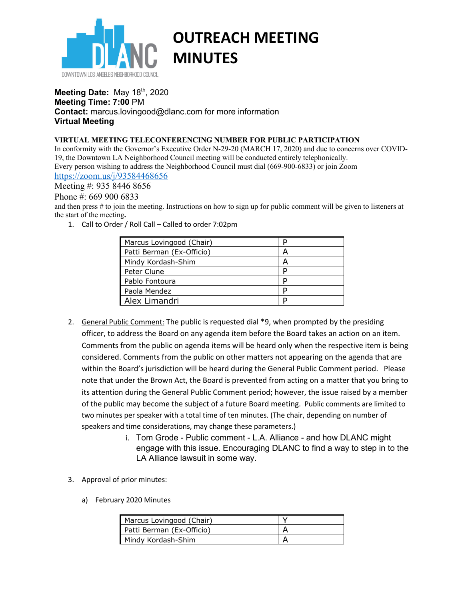

# **OUTREACH MEETING MINUTES**

### **Meeting Date: May 18th, 2020 Meeting Time: 7:00** PM **Contact:** marcus.lovingood@dlanc.com for more information **Virtual Meeting**

#### **VIRTUAL MEETING TELECONFERENCING NUMBER FOR PUBLIC PARTICIPATION**

In conformity with the Governor's Executive Order N-29-20 (MARCH 17, 2020) and due to concerns over COVID-19, the Downtown LA Neighborhood Council meeting will be conducted entirely telephonically. Every person wishing to address the Neighborhood Council must dial (669-900-6833) or join Zoom

## https://zoom.us/j/93584468656

Meeting #: 935 8446 8656

Phone #: 669 900 6833

and then press # to join the meeting. Instructions on how to sign up for public comment will be given to listeners at the start of the meeting**.** 

1. Call to Order / Roll Call – Called to order 7:02pm

| Marcus Lovingood (Chair)  |   |
|---------------------------|---|
| Patti Berman (Ex-Officio) |   |
| Mindy Kordash-Shim        |   |
| Peter Clune               | D |
| Pablo Fontoura            |   |
| Paola Mendez              | D |
| Alex Limandri             |   |

- 2. General Public Comment: The public is requested dial \*9, when prompted by the presiding officer, to address the Board on any agenda item before the Board takes an action on an item. Comments from the public on agenda items will be heard only when the respective item is being considered. Comments from the public on other matters not appearing on the agenda that are within the Board's jurisdiction will be heard during the General Public Comment period. Please note that under the Brown Act, the Board is prevented from acting on a matter that you bring to its attention during the General Public Comment period; however, the issue raised by a member of the public may become the subject of a future Board meeting. Public comments are limited to two minutes per speaker with a total time of ten minutes. (The chair, depending on number of speakers and time considerations, may change these parameters.)
	- i. Tom Grode Public comment L.A. Alliance and how DLANC might engage with this issue. Encouraging DLANC to find a way to step in to the LA Alliance lawsuit in some way.
- 3. Approval of prior minutes:
	- a) February 2020 Minutes

| Marcus Lovingood (Chair)  |  |
|---------------------------|--|
| Patti Berman (Ex-Officio) |  |
| Mindy Kordash-Shim        |  |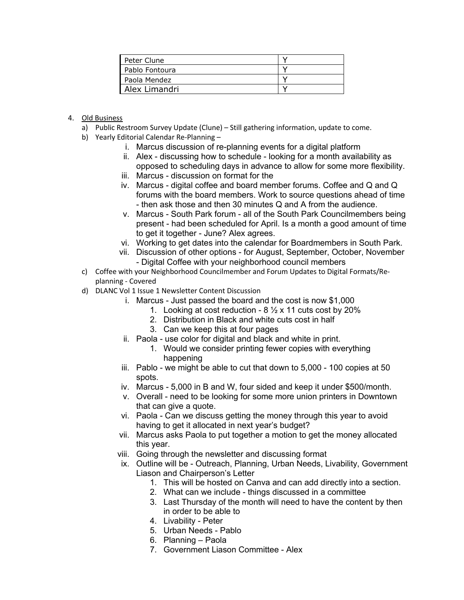| Peter Clune    |  |
|----------------|--|
| Pablo Fontoura |  |
| Paola Mendez   |  |
| Alex Limandri  |  |

- 4. Old Business
	- a) Public Restroom Survey Update (Clune) Still gathering information, update to come.
	- b) Yearly Editorial Calendar Re-Planning
		- i. Marcus discussion of re-planning events for a digital platform
		- ii. Alex discussing how to schedule looking for a month availability as opposed to scheduling days in advance to allow for some more flexibility.
		- iii. Marcus discussion on format for the
		- iv. Marcus digital coffee and board member forums. Coffee and Q and Q forums with the board members. Work to source questions ahead of time - then ask those and then 30 minutes Q and A from the audience.
		- v. Marcus South Park forum all of the South Park Councilmembers being present - had been scheduled for April. Is a month a good amount of time to get it together - June? Alex agrees.
		- vi. Working to get dates into the calendar for Boardmembers in South Park.
		- vii. Discussion of other options for August, September, October, November - Digital Coffee with your neighborhood council members
	- c) Coffee with your Neighborhood Councilmember and Forum Updates to Digital Formats/Replanning - Covered
	- d) DLANC Vol 1 Issue 1 Newsletter Content Discussion
		- i. Marcus Just passed the board and the cost is now \$1,000
			- 1. Looking at cost reduction  $8\frac{1}{2} \times 11$  cuts cost by 20%
			- 2. Distribution in Black and white cuts cost in half
			- 3. Can we keep this at four pages
		- ii. Paola use color for digital and black and white in print.
			- 1. Would we consider printing fewer copies with everything happening
		- iii. Pablo we might be able to cut that down to 5,000 100 copies at 50 spots.
		- iv. Marcus 5,000 in B and W, four sided and keep it under \$500/month.
		- v. Overall need to be looking for some more union printers in Downtown that can give a quote.
		- vi. Paola Can we discuss getting the money through this year to avoid having to get it allocated in next year's budget?
		- vii. Marcus asks Paola to put together a motion to get the money allocated this year.
		- viii. Going through the newsletter and discussing format
		- ix. Outline will be Outreach, Planning, Urban Needs, Livability, Government Liason and Chairperson's Letter
			- 1. This will be hosted on Canva and can add directly into a section.
			- 2. What can we include things discussed in a committee
			- 3. Last Thursday of the month will need to have the content by then in order to be able to
			- 4. Livability Peter
			- 5. Urban Needs Pablo
			- 6. Planning Paola
			- 7. Government Liason Committee Alex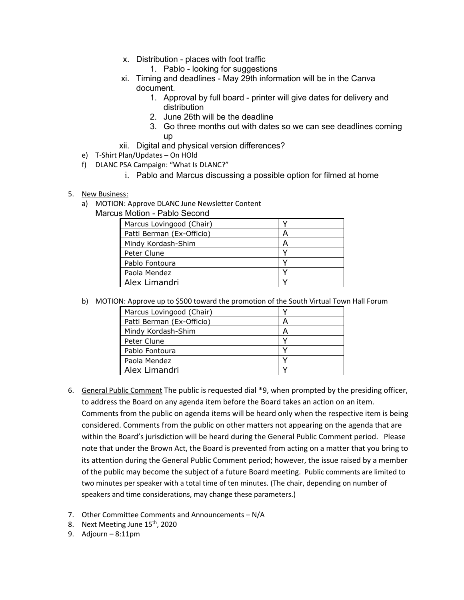- x. Distribution places with foot traffic
	- 1. Pablo looking for suggestions
- xi. Timing and deadlines May 29th information will be in the Canva document.
	- 1. Approval by full board printer will give dates for delivery and distribution
	- 2. June 26th will be the deadline
	- 3. Go three months out with dates so we can see deadlines coming up
- xii. Digital and physical version differences?
- e) T-Shirt Plan/Updates On HOld
- f) DLANC PSA Campaign: "What Is DLANC?"
	- i. Pablo and Marcus discussing a possible option for filmed at home

#### 5. New Business:

a) MOTION: Approve DLANC June Newsletter Content

Marcus Motion - Pablo Second

| Marcus Lovingood (Chair)  |  |
|---------------------------|--|
| Patti Berman (Ex-Officio) |  |
| Mindy Kordash-Shim        |  |
| Peter Clune               |  |
| Pablo Fontoura            |  |
| Paola Mendez              |  |
| Alex Limandri             |  |

b) MOTION: Approve up to \$500 toward the promotion of the South Virtual Town Hall Forum

| Marcus Lovingood (Chair)  |   |
|---------------------------|---|
| Patti Berman (Ex-Officio) | A |
| Mindy Kordash-Shim        | А |
| Peter Clune               |   |
| Pablo Fontoura            |   |
| Paola Mendez              |   |
| Alex Limandri             |   |

- 6. General Public Comment The public is requested dial \*9, when prompted by the presiding officer, to address the Board on any agenda item before the Board takes an action on an item. Comments from the public on agenda items will be heard only when the respective item is being considered. Comments from the public on other matters not appearing on the agenda that are within the Board's jurisdiction will be heard during the General Public Comment period. Please note that under the Brown Act, the Board is prevented from acting on a matter that you bring to its attention during the General Public Comment period; however, the issue raised by a member of the public may become the subject of a future Board meeting. Public comments are limited to two minutes per speaker with a total time of ten minutes. (The chair, depending on number of speakers and time considerations, may change these parameters.)
- 7. Other Committee Comments and Announcements N/A
- 8. Next Meeting June 15<sup>th</sup>, 2020
- 9. Adjourn 8:11pm